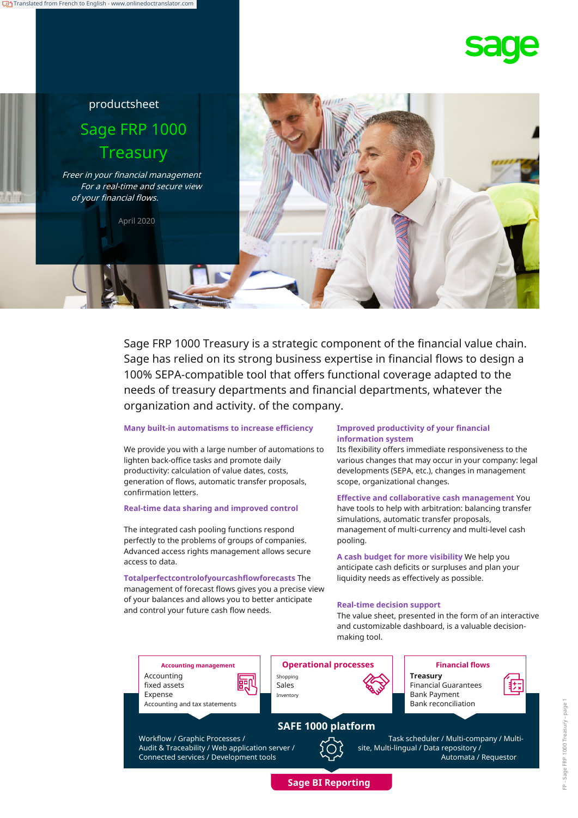# productsheet Sage FRP 1000 **Treasury**

Freer in your financial management For a real-time and secure view of your financial flows.

April 2020



### **Many built-in automatisms to increase efficiency**

We provide you with a large number of automations to lighten back-office tasks and promote daily productivity: calculation of value dates, costs, generation of flows, automatic transfer proposals, confirmation letters.

### **Real-time data sharing and improved control**

The integrated cash pooling functions respond perfectly to the problems of groups of companies. Advanced access rights management allows secure access to data. **A cash budget for more visibility** We help you

**Totalperfectcontrolofyourcashflowforecasts** The liquidity needs as effectively as possible. management of forecast flows gives you a precise view of your balances and allows you to better anticipate and control your future cash flow needs. **Real-time decision support**

### **Improved productivity of your financial information system**

Its flexibility offers immediate responsiveness to the various changes that may occur in your company: legal developments (SEPA, etc.), changes in management scope, organizational changes.

**Effective and collaborative cash management** You have tools to help with arbitration: balancing transfer simulations, automatic transfer proposals, management of multi-currency and multi-level cash pooling.

anticipate cash deficits or surpluses and plan your

The value sheet, presented in the form of an interactive and customizable dashboard, is a valuable decisionmaking tool.

**Accounting management Operational processes Financial flows** Accounting fixed assets Shopping Sales **Treasury** Financial Guarantees Expense Accounting and tax statements Inventory **Bank Payment** Bank reconciliation **SAFE 1000 platform** Workflow / Graphic Processes / Audit & Traceability / Web application server / Connected services / Development tools Task scheduler / Multi-company / Multisite, Multi-lingual / Data repository / Automata / Requestor

**Sage BI Reporting**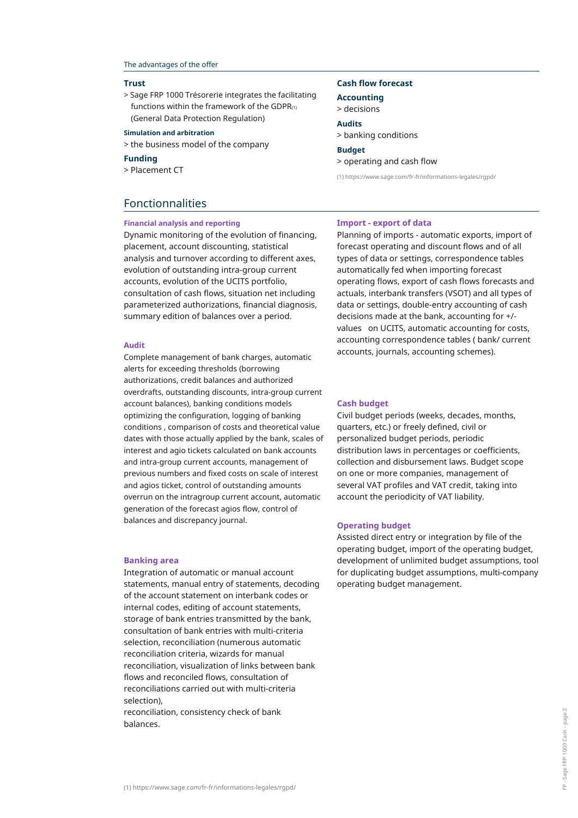### The advantages of the offer

### **Trust**

> Sage FRP 1000 Trésorerie integrates the facilitating functions within the framework of the GDPR $(1)$ (General Data Protection Regulation)

### > banking conditions **Simulation and arbitration**

> the business model of the company **Budget**

> Placement CT

## Fonctionnalities

### **Financial analysis and reporting**

Dynamic monitoring of the evolution of financing, placement, account discounting, statistical analysis and turnover according to different axes, evolution of outstanding intra-group current accounts, evolution of the UCITS portfolio, consultation of cash flows, situation net including parameterized authorizations, financial diagnosis, summary edition of balances over a period.

Complete management of bank charges, automatic alerts for exceeding thresholds (borrowing authorizations, credit balances and authorized overdrafts, outstanding discounts, intra-group current account balances), banking conditions models optimizing the configuration, logging of banking conditions , comparison of costs and theoretical value dates with those actually applied by the bank, scales of interest and agio tickets calculated on bank accounts and intra-group current accounts, management of previous numbers and fixed costs on scale of interest and agios ticket, control of outstanding amounts overrun on the intragroup current account, automatic generation of the forecast agios flow, control of balances and discrepancy journal.

### **Banking area**

Integration of automatic or manual account statements, manual entry of statements, decoding of the account statement on interbank codes or internal codes, editing of account statements, storage of bank entries transmitted by the bank, consultation of bank entries with multi-criteria selection, reconciliation (numerous automatic reconciliation criteria, wizards for manual reconciliation, visualization of links between bank flows and reconciled flows, consultation of reconciliations carried out with multi-criteria selection),

reconciliation, consistency check of bank balances.

### **Cash flow forecast**

**Accounting**

> decisions **Audits**

**Funding** > operating and cash flow

(1) https://www.sage.com/fr-fr/informations-legales/rgpd/

### **Import - export of data**

Planning of imports - automatic exports, import of forecast operating and discount flows and of all types of data or settings, correspondence tables automatically fed when importing forecast operating flows, export of cash flows forecasts and actuals, interbank transfers (VSOT) and all types of data or settings, double-entry accounting of cash decisions made at the bank, accounting for +/ values on UCITS, automatic accounting for costs, accounting correspondence tables ( bank/ current accounts, journals, accounting schemes). **Audit**

### **Cash budget**

Civil budget periods (weeks, decades, months, quarters, etc.) or freely defined, civil or personalized budget periods, periodic distribution laws in percentages or coefficients, collection and disbursement laws. Budget scope on one or more companies, management of several VAT profiles and VAT credit, taking into account the periodicity of VAT liability.

### **Operating budget**

Assisted direct entry or integration by file of the operating budget, import of the operating budget, development of unlimited budget assumptions, tool for duplicating budget assumptions, multi-company operating budget management.